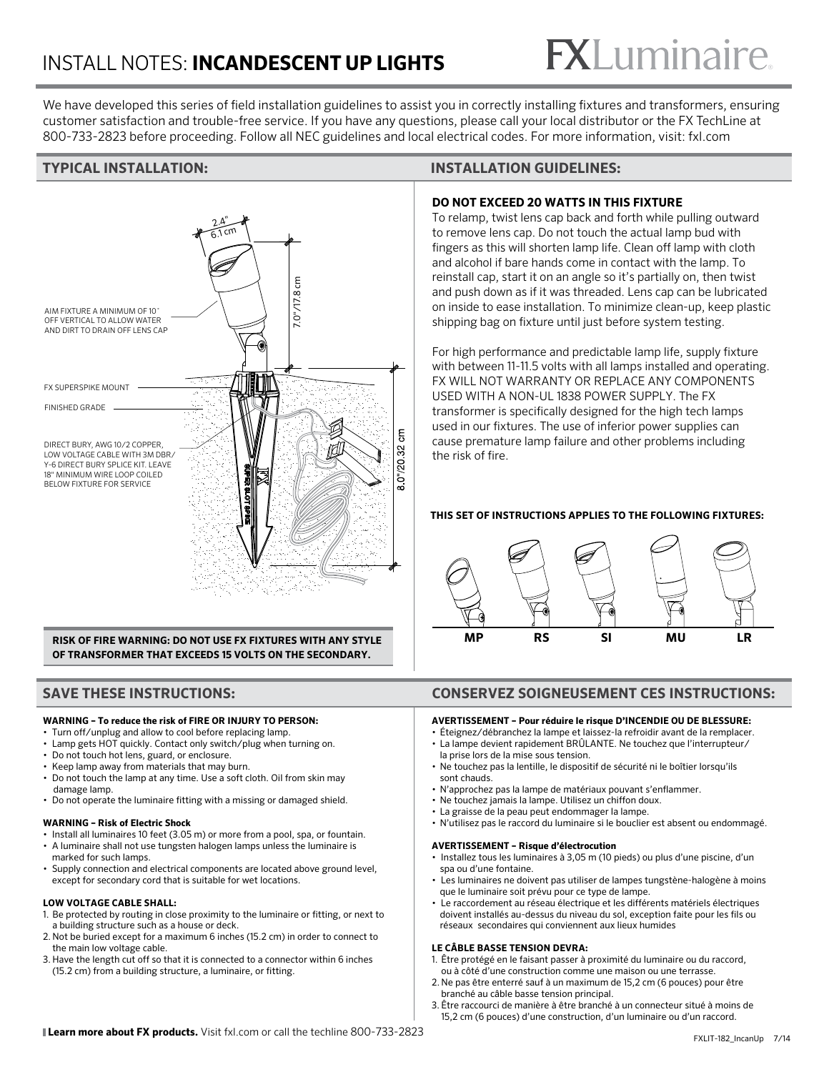# $<sup>®</sup>$ </sup>

We have developed this series of field installation guidelines to assist you in correctly installing fixtures and transformers, ensuring customer satisfaction and trouble-free service. If you have any questions, please call your local distributor or the FX TechLine at 800-733-2823 before proceeding. Follow all NEC guidelines and local electrical codes. For more information, visit: fxl.com



**RISK OF FIRE WARNING: DO NOT USE FX FIXTURES WITH ANY STYLE OF TRANSFORMER THAT EXCEEDS 15 VOLTS ON THE SECONDARY.** 

#### **WARNING – To reduce the risk of FIRE OR INJURY TO PERSON:**

- Turn off/unplug and allow to cool before replacing lamp.
- Lamp gets HOT quickly. Contact only switch/plug when turning on.
- Do not touch hot lens, guard, or enclosure.
- Keep lamp away from materials that may burn. • Do not touch the lamp at any time. Use a soft cloth. Oil from skin may
- damage lamp.
- Do not operate the luminaire fitting with a missing or damaged shield.

#### **WARNING – Risk of Electric Shock**

- Install all luminaires 10 feet (3.05 m) or more from a pool, spa, or fountain.
- A luminaire shall not use tungsten halogen lamps unless the luminaire is marked for such lamps.
- Supply connection and electrical components are located above ground level, except for secondary cord that is suitable for wet locations.

### **LOW VOLTAGE CABLE SHALL:**

- 1. Be protected by routing in close proximity to the luminaire or fitting, or next to a building structure such as a house or deck.
- 2. Not be buried except for a maximum 6 inches (15.2 cm) in order to connect to the main low voltage cable.
- 3. Have the length cut off so that it is connected to a connector within 6 inches (15.2 cm) from a building structure, a luminaire, or fitting.

## **TYPICAL INSTALLATION: INSTALLATION GUIDELINES:**

## **DO NOT EXCEED 20 WATTS IN THIS FIXTURE**

To relamp, twist lens cap back and forth while pulling outward to remove lens cap. Do not touch the actual lamp bud with fingers as this will shorten lamp life. Clean off lamp with cloth and alcohol if bare hands come in contact with the lamp. To reinstall cap, start it on an angle so it's partially on, then twist and push down as if it was threaded. Lens cap can be lubricated on inside to ease installation. To minimize clean-up, keep plastic shipping bag on fixture until just before system testing.

For high performance and predictable lamp life, supply fixture with between 11-11.5 volts with all lamps installed and operating. FX WILL NOT WARRANTY OR REPLACE ANY COMPONENTS USED WITH A NON-UL 1838 POWER SUPPLY. The FX transformer is specifically designed for the high tech lamps used in our fixtures. The use of inferior power supplies can cause premature lamp failure and other problems including the risk of fire.

### **THIS SET OF INSTRUCTIONS APPLIES TO THE FOLLOWING FIXTURES:**



# **SAVE THESE INSTRUCTIONS: CONSERVEZ SOIGNEUSEMENT CES INSTRUCTIONS:**

#### **AVERTISSEMENT – Pour réduire le risque D'INCENDIE OU DE BLESSURE:**

- Éteignez/débranchez la lampe et laissez-la refroidir avant de la remplacer. • La lampe devient rapidement BRÛLANTE. Ne touchez que l'interrupteur/
- la prise lors de la mise sous tension. • Ne touchez pas la lentille, le dispositif de sécurité ni le boîtier lorsqu'ils sont chauds.
- N'approchez pas la lampe de matériaux pouvant s'enflammer.
- Ne touchez jamais la lampe. Utilisez un chiffon doux.
- La graisse de la peau peut endommager la lampe.
- N'utilisez pas le raccord du luminaire si le bouclier est absent ou endommagé.

#### **AVERTISSEMENT – Risque d'électrocution**

- Installez tous les luminaires à 3,05 m (10 pieds) ou plus d'une piscine, d'un spa ou d'une fontaine.
- Les luminaires ne doivent pas utiliser de lampes tungstène-halogène à moins que le luminaire soit prévu pour ce type de lampe.
- Le raccordement au réseau électrique et les différents matériels électriques doivent installés au-dessus du niveau du sol, exception faite pour les fils ou réseaux secondaires qui conviennent aux lieux humides

#### **LE CÂBLE BASSE TENSION DEVRA:**

- 1. Être protégé en le faisant passer à proximité du luminaire ou du raccord, ou à côté d'une construction comme une maison ou une terrasse.
- 2. Ne pas être enterré sauf à un maximum de 15,2 cm (6 pouces) pour être branché au câble basse tension principal.
- 3. Être raccourci de manière à être branché à un connecteur situé à moins de 15,2 cm (6 pouces) d'une construction, d'un luminaire ou d'un raccord.